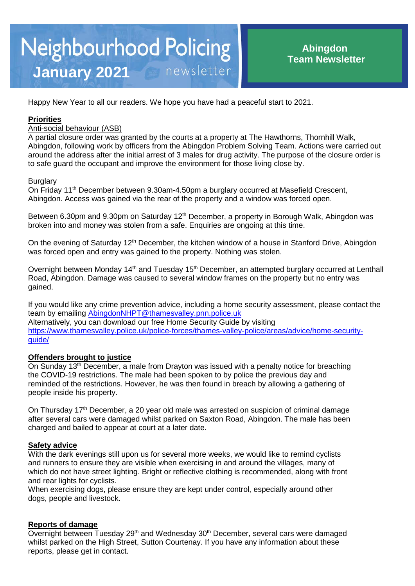# **Neighbourhood Policing** newsletter **January 2021**

Happy New Year to all our readers. We hope you have had a peaceful start to 2021.

## **Priorities**

## Anti-social behaviour (ASB)

A partial closure order was granted by the courts at a property at The Hawthorns, Thornhill Walk, Abingdon, following work by officers from the Abingdon Problem Solving Team. Actions were carried out around the address after the initial arrest of 3 males for drug activity. The purpose of the closure order is to safe guard the occupant and improve the environment for those living close by.

#### **Burglary**

On Friday 11<sup>th</sup> December between 9.30am-4.50pm a burglary occurred at Masefield Crescent, Abingdon. Access was gained via the rear of the property and a window was forced open.

Between 6.30pm and 9.30pm on Saturday  $12<sup>th</sup>$  December, a property in Borough Walk, Abingdon was broken into and money was stolen from a safe. Enquiries are ongoing at this time.

On the evening of Saturday 12<sup>th</sup> December, the kitchen window of a house in Stanford Drive, Abingdon was forced open and entry was gained to the property. Nothing was stolen.

Overnight between Monday 14<sup>th</sup> and Tuesday 15<sup>th</sup> December, an attempted burglary occurred at Lenthall Road, Abingdon. Damage was caused to several window frames on the property but no entry was gained.

If you would like any crime prevention advice, including a home security assessment, please contact the team by emailing [AbingdonNHPT@thamesvalley.pnn.police.uk](mailto:AbingdonNHPT@thamesvalley.pnn.police.uk) Alternatively, you can download our free Home Security Guide by visiting [https://www.thamesvalley.police.uk/police-forces/thames-valley-police/areas/advice/home-security](https://www.thamesvalley.police.uk/police-forces/thames-valley-police/areas/advice/home-security-guide/)quide/

### **Offenders brought to justice**

On Sunday 13<sup>th</sup> December, a male from Drayton was issued with a penalty notice for breaching the COVID-19 restrictions. The male had been spoken to by police the previous day and reminded of the restrictions. However, he was then found in breach by allowing a gathering of people inside his property.

On Thursday 17<sup>th</sup> December, a 20 year old male was arrested on suspicion of criminal damage after several cars were damaged whilst parked on Saxton Road, Abingdon. The male has been charged and bailed to appear at court at a later date.

#### **Safety advice**

With the dark evenings still upon us for several more weeks, we would like to remind cyclists and runners to ensure they are visible when exercising in and around the villages, many of which do not have street lighting. Bright or reflective clothing is recommended, along with front and rear lights for cyclists.

When exercising dogs, please ensure they are kept under control, especially around other dogs, people and livestock.

#### **Reports of damage**

Overnight between Tuesday 29th and Wednesday 30th December, several cars were damaged whilst parked on the High Street, Sutton Courtenay. If you have any information about these reports, please get in contact.